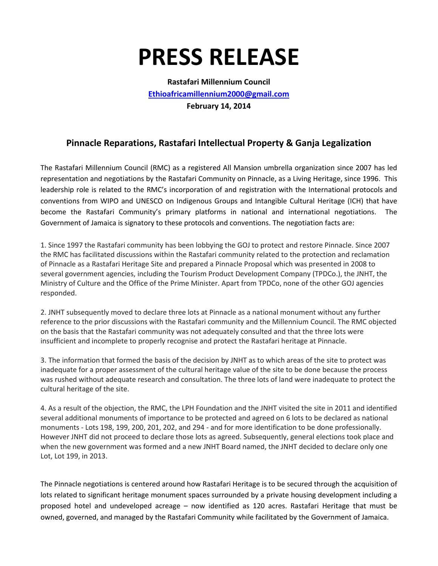## **PRESS RELEASE**

**Rastafari Millennium Council [Ethioafricamillennium2000@gmail.com](mailto:Ethioafricamillennium2000@gmail.com) February 14, 2014**

## **Pinnacle Reparations, Rastafari Intellectual Property & Ganja Legalization**

The Rastafari Millennium Council (RMC) as a registered All Mansion umbrella organization since 2007 has led representation and negotiations by the Rastafari Community on Pinnacle, as a Living Heritage, since 1996. This leadership role is related to the RMC's incorporation of and registration with the International protocols and conventions from WIPO and UNESCO on Indigenous Groups and Intangible Cultural Heritage (ICH) that have become the Rastafari Community's primary platforms in national and international negotiations. The Government of Jamaica is signatory to these protocols and conventions. The negotiation facts are:

1. Since 1997 the Rastafari community has been lobbying the GOJ to protect and restore Pinnacle. Since 2007 the RMC has facilitated discussions within the Rastafari community related to the protection and reclamation of Pinnacle as a Rastafari Heritage Site and prepared a Pinnacle Proposal which was presented in 2008 to several government agencies, including the Tourism Product Development Company (TPDCo.), the JNHT, the Ministry of Culture and the Office of the Prime Minister. Apart from TPDCo, none of the other GOJ agencies responded.

2. JNHT subsequently moved to declare three lots at Pinnacle as a national monument without any further reference to the prior discussions with the Rastafari community and the Millennium Council. The RMC objected on the basis that the Rastafari community was not adequately consulted and that the three lots were insufficient and incomplete to properly recognise and protect the Rastafari heritage at Pinnacle.

3. The information that formed the basis of the decision by JNHT as to which areas of the site to protect was inadequate for a proper assessment of the cultural heritage value of the site to be done because the process was rushed without adequate research and consultation. The three lots of land were inadequate to protect the cultural heritage of the site.

4. As a result of the objection, the RMC, the LPH Foundation and the JNHT visited the site in 2011 and identified several additional monuments of importance to be protected and agreed on 6 lots to be declared as national monuments - Lots 198, 199, 200, 201, 202, and 294 - and for more identification to be done professionally. However JNHT did not proceed to declare those lots as agreed. Subsequently, general elections took place and when the new government was formed and a new JNHT Board named, the JNHT decided to declare only one Lot, Lot 199, in 2013.

The Pinnacle negotiations is centered around how Rastafari Heritage is to be secured through the acquisition of lots related to significant heritage monument spaces surrounded by a private housing development including a proposed hotel and undeveloped acreage – now identified as 120 acres. Rastafari Heritage that must be owned, governed, and managed by the Rastafari Community while facilitated by the Government of Jamaica.